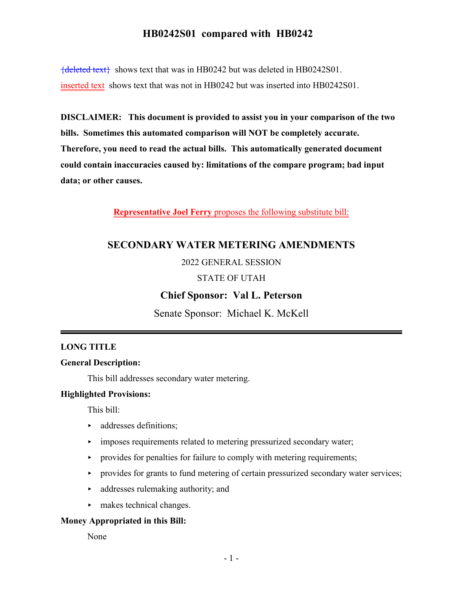${deleted text}$  shows text that was in HB0242 but was deleted in HB0242S01. inserted text shows text that was not in HB0242 but was inserted into HB0242S01.

**DISCLAIMER: This document is provided to assist you in your comparison of the two bills. Sometimes this automated comparison will NOT be completely accurate. Therefore, you need to read the actual bills. This automatically generated document could contain inaccuracies caused by: limitations of the compare program; bad input data; or other causes.**

**Representative Joel Ferry** proposes the following substitute bill:

## **SECONDARY WATER METERING AMENDMENTS**

#### 2022 GENERAL SESSION

#### STATE OF UTAH

## **Chief Sponsor: Val L. Peterson**

Senate Sponsor: Michael K. McKell

#### **LONG TITLE**

#### **General Description:**

This bill addresses secondary water metering.

#### **Highlighted Provisions:**

This bill:

- **addresses definitions;**
- $\rightarrow$  imposes requirements related to metering pressurized secondary water;
- $\rightarrow$  provides for penalties for failure to comply with metering requirements;
- provides for grants to fund metering of certain pressurized secondary water services;
- $\rightarrow$  addresses rulemaking authority; and
- $\blacktriangleright$  makes technical changes.

#### **Money Appropriated in this Bill:**

None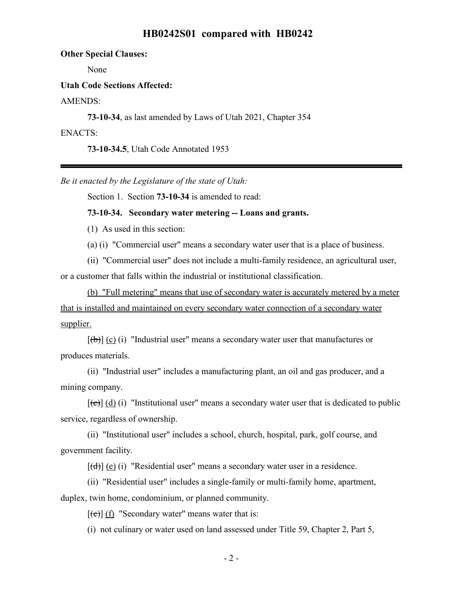**Other Special Clauses:**

None

#### **Utah Code Sections Affected:**

AMENDS:

**73-10-34**, as last amended by Laws of Utah 2021, Chapter 354

ENACTS:

**73-10-34.5**, Utah Code Annotated 1953

*Be it enacted by the Legislature of the state of Utah:*

Section 1. Section **73-10-34** is amended to read:

#### **73-10-34. Secondary water metering -- Loans and grants.**

(1) As used in this section:

(a) (i) "Commercial user" means a secondary water user that is a place of business.

(ii) "Commercial user" does not include a multi-family residence, an agricultural user, or a customer that falls within the industrial or institutional classification.

(b) "Full metering" means that use of secondary water is accurately metered by a meter that is installed and maintained on every secondary water connection of a secondary water supplier.

 $[(\theta)]$  (c) (i) "Industrial user" means a secondary water user that manufactures or produces materials.

(ii) "Industrial user" includes a manufacturing plant, an oil and gas producer, and a mining company.

 $[\text{f}\Theta]$  (d) (i) "Institutional user" means a secondary water user that is dedicated to public service, regardless of ownership.

(ii) "Institutional user" includes a school, church, hospital, park, golf course, and government facility.

 $[\text{(\text{d})}]$  (e) (i) "Residential user" means a secondary water user in a residence.

(ii) "Residential user" includes a single-family or multi-family home, apartment, duplex, twin home, condominium, or planned community.

 $[\text{e}(\text{e})]$  (f) "Secondary water" means water that is:

(i) not culinary or water used on land assessed under Title 59, Chapter 2, Part 5,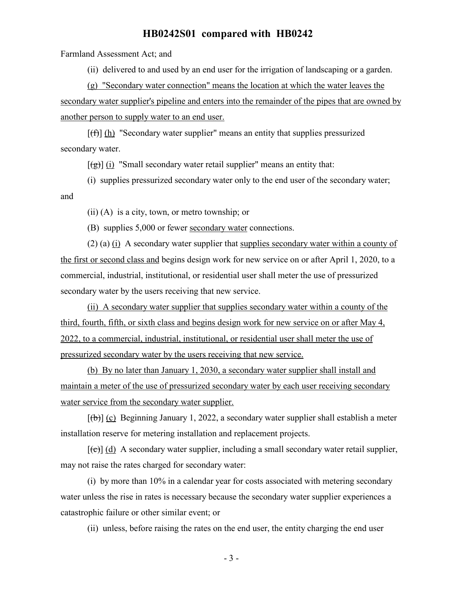Farmland Assessment Act; and

(ii) delivered to and used by an end user for the irrigation of landscaping or a garden.

(g) "Secondary water connection" means the location at which the water leaves the secondary water supplier's pipeline and enters into the remainder of the pipes that are owned by another person to supply water to an end user.

 $[f(f)]$  (h) "Secondary water supplier" means an entity that supplies pressurized secondary water.

 $[(\frac{\alpha}{2})]$  (i) "Small secondary water retail supplier" means an entity that:

(i) supplies pressurized secondary water only to the end user of the secondary water; and

(ii) (A) is a city, town, or metro township; or

(B) supplies 5,000 or fewer secondary water connections.

(2) (a) (i) A secondary water supplier that supplies secondary water within a county of the first or second class and begins design work for new service on or after April 1, 2020, to a commercial, industrial, institutional, or residential user shall meter the use of pressurized secondary water by the users receiving that new service.

(ii) A secondary water supplier that supplies secondary water within a county of the third, fourth, fifth, or sixth class and begins design work for new service on or after May 4, 2022, to a commercial, industrial, institutional, or residential user shall meter the use of pressurized secondary water by the users receiving that new service.

(b) By no later than January 1, 2030, a secondary water supplier shall install and maintain a meter of the use of pressurized secondary water by each user receiving secondary water service from the secondary water supplier.

 $[(\theta)]$  (c) Beginning January 1, 2022, a secondary water supplier shall establish a meter installation reserve for metering installation and replacement projects.

 $[\text{e}(\epsilon)]$  (d) A secondary water supplier, including a small secondary water retail supplier, may not raise the rates charged for secondary water:

(i) by more than 10% in a calendar year for costs associated with metering secondary water unless the rise in rates is necessary because the secondary water supplier experiences a catastrophic failure or other similar event; or

(ii) unless, before raising the rates on the end user, the entity charging the end user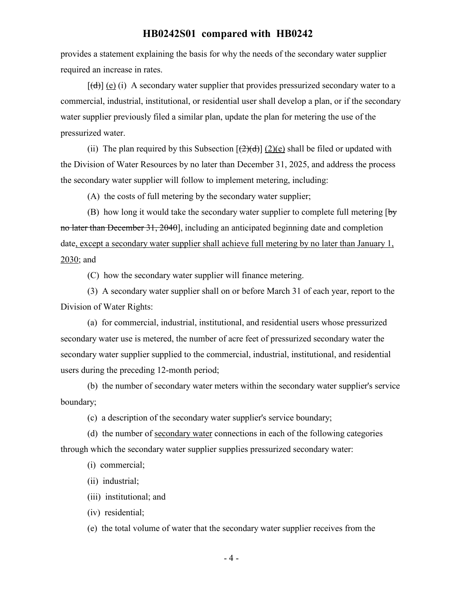provides a statement explaining the basis for why the needs of the secondary water supplier required an increase in rates.

 $[\text{(\text{d})}]$  (e) (i) A secondary water supplier that provides pressurized secondary water to a commercial, industrial, institutional, or residential user shall develop a plan, or if the secondary water supplier previously filed a similar plan, update the plan for metering the use of the pressurized water.

(ii) The plan required by this Subsection  $[\frac{2}{d}]$  (2)(e) shall be filed or updated with the Division of Water Resources by no later than December 31, 2025, and address the process the secondary water supplier will follow to implement metering, including:

(A) the costs of full metering by the secondary water supplier;

(B) how long it would take the secondary water supplier to complete full metering  $\overline{b}y$ no later than December 31, 2040], including an anticipated beginning date and completion date, except a secondary water supplier shall achieve full metering by no later than January 1, 2030; and

(C) how the secondary water supplier will finance metering.

(3) A secondary water supplier shall on or before March 31 of each year, report to the Division of Water Rights:

(a) for commercial, industrial, institutional, and residential users whose pressurized secondary water use is metered, the number of acre feet of pressurized secondary water the secondary water supplier supplied to the commercial, industrial, institutional, and residential users during the preceding 12-month period;

(b) the number of secondary water meters within the secondary water supplier's service boundary;

(c) a description of the secondary water supplier's service boundary;

(d) the number of secondary water connections in each of the following categories through which the secondary water supplier supplies pressurized secondary water:

(i) commercial;

(ii) industrial;

(iii) institutional; and

(iv) residential;

(e) the total volume of water that the secondary water supplier receives from the

- 4 -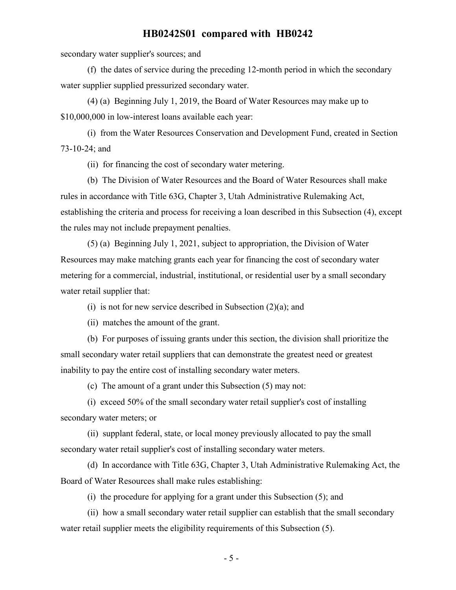secondary water supplier's sources; and

(f) the dates of service during the preceding 12-month period in which the secondary water supplier supplied pressurized secondary water.

(4) (a) Beginning July 1, 2019, the Board of Water Resources may make up to \$10,000,000 in low-interest loans available each year:

(i) from the Water Resources Conservation and Development Fund, created in Section 73-10-24; and

(ii) for financing the cost of secondary water metering.

(b) The Division of Water Resources and the Board of Water Resources shall make rules in accordance with Title 63G, Chapter 3, Utah Administrative Rulemaking Act, establishing the criteria and process for receiving a loan described in this Subsection (4), except the rules may not include prepayment penalties.

(5) (a) Beginning July 1, 2021, subject to appropriation, the Division of Water Resources may make matching grants each year for financing the cost of secondary water metering for a commercial, industrial, institutional, or residential user by a small secondary water retail supplier that:

(i) is not for new service described in Subsection  $(2)(a)$ ; and

(ii) matches the amount of the grant.

(b) For purposes of issuing grants under this section, the division shall prioritize the small secondary water retail suppliers that can demonstrate the greatest need or greatest inability to pay the entire cost of installing secondary water meters.

(c) The amount of a grant under this Subsection (5) may not:

(i) exceed 50% of the small secondary water retail supplier's cost of installing secondary water meters; or

(ii) supplant federal, state, or local money previously allocated to pay the small secondary water retail supplier's cost of installing secondary water meters.

(d) In accordance with Title 63G, Chapter 3, Utah Administrative Rulemaking Act, the Board of Water Resources shall make rules establishing:

(i) the procedure for applying for a grant under this Subsection (5); and

(ii) how a small secondary water retail supplier can establish that the small secondary water retail supplier meets the eligibility requirements of this Subsection (5).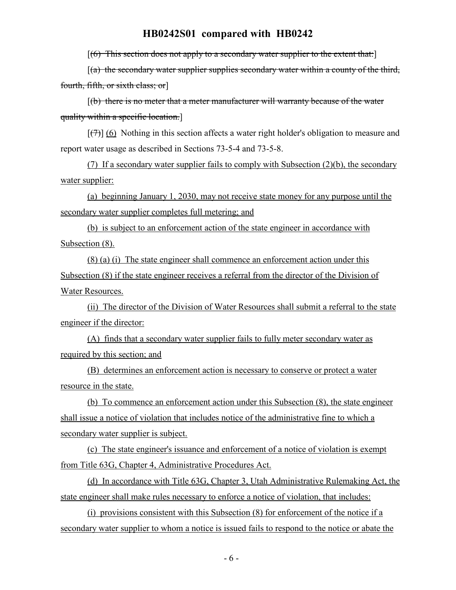$[(6)$  This section does not apply to a secondary water supplier to the extent that:

 $[(a)$  the secondary water supplier supplies secondary water within a county of the third, fourth, fifth, or sixth class; or]

 $[(b)$  there is no meter that a meter manufacturer will warranty because of the water quality within a specific location.]

 $[\overline{(7)}]$  (6) Nothing in this section affects a water right holder's obligation to measure and report water usage as described in Sections 73-5-4 and 73-5-8.

(7) If a secondary water supplier fails to comply with Subsection (2)(b), the secondary water supplier:

(a) beginning January 1, 2030, may not receive state money for any purpose until the secondary water supplier completes full metering; and

(b) is subject to an enforcement action of the state engineer in accordance with Subsection (8).

(8) (a) (i) The state engineer shall commence an enforcement action under this Subsection (8) if the state engineer receives a referral from the director of the Division of Water Resources.

(ii) The director of the Division of Water Resources shall submit a referral to the state engineer if the director:

(A) finds that a secondary water supplier fails to fully meter secondary water as required by this section; and

(B) determines an enforcement action is necessary to conserve or protect a water resource in the state.

(b) To commence an enforcement action under this Subsection (8), the state engineer shall issue a notice of violation that includes notice of the administrative fine to which a secondary water supplier is subject.

(c) The state engineer's issuance and enforcement of a notice of violation is exempt from Title 63G, Chapter 4, Administrative Procedures Act.

(d) In accordance with Title 63G, Chapter 3, Utah Administrative Rulemaking Act, the state engineer shall make rules necessary to enforce a notice of violation, that includes:

(i) provisions consistent with this Subsection (8) for enforcement of the notice if a secondary water supplier to whom a notice is issued fails to respond to the notice or abate the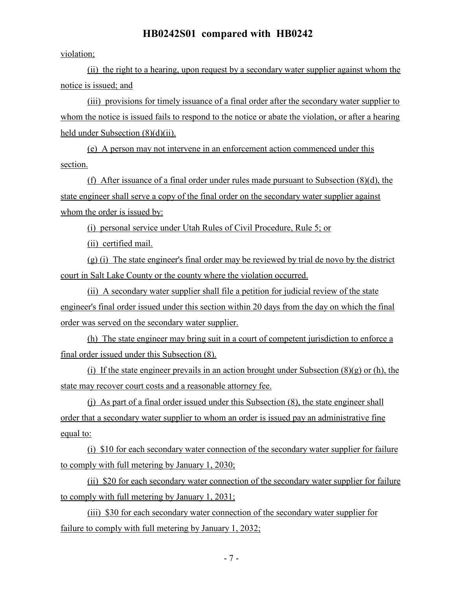violation;

(ii) the right to a hearing, upon request by a secondary water supplier against whom the notice is issued; and

(iii) provisions for timely issuance of a final order after the secondary water supplier to whom the notice is issued fails to respond to the notice or abate the violation, or after a hearing held under Subsection (8)(d)(ii).

(e) A person may not intervene in an enforcement action commenced under this section.

(f) After issuance of a final order under rules made pursuant to Subsection (8)(d), the state engineer shall serve a copy of the final order on the secondary water supplier against whom the order is issued by:

(i) personal service under Utah Rules of Civil Procedure, Rule 5; or

(ii) certified mail.

(g) (i) The state engineer's final order may be reviewed by trial de novo by the district court in Salt Lake County or the county where the violation occurred.

(ii) A secondary water supplier shall file a petition for judicial review of the state engineer's final order issued under this section within 20 days from the day on which the final order was served on the secondary water supplier.

(h) The state engineer may bring suit in a court of competent jurisdiction to enforce a final order issued under this Subsection (8).

(i) If the state engineer prevails in an action brought under Subsection  $(8)(g)$  or (h), the state may recover court costs and a reasonable attorney fee.

(j) As part of a final order issued under this Subsection (8), the state engineer shall order that a secondary water supplier to whom an order is issued pay an administrative fine equal to:

(i) \$10 for each secondary water connection of the secondary water supplier for failure to comply with full metering by January 1, 2030;

(ii) \$20 for each secondary water connection of the secondary water supplier for failure to comply with full metering by January 1, 2031;

(iii) \$30 for each secondary water connection of the secondary water supplier for failure to comply with full metering by January 1, 2032;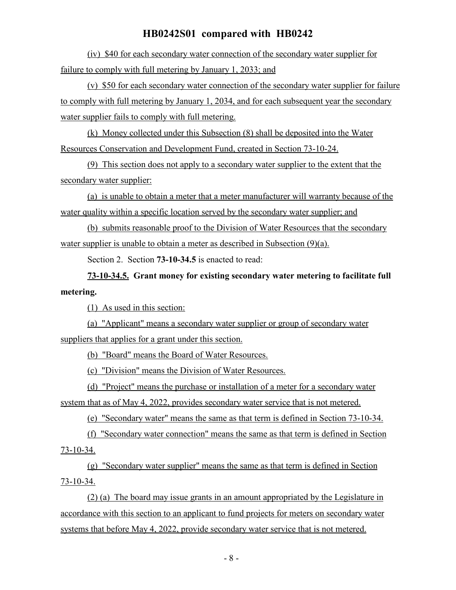(iv) \$40 for each secondary water connection of the secondary water supplier for failure to comply with full metering by January 1, 2033; and

(v) \$50 for each secondary water connection of the secondary water supplier for failure to comply with full metering by January 1, 2034, and for each subsequent year the secondary water supplier fails to comply with full metering.

(k) Money collected under this Subsection (8) shall be deposited into the Water Resources Conservation and Development Fund, created in Section 73-10-24.

(9) This section does not apply to a secondary water supplier to the extent that the secondary water supplier:

(a) is unable to obtain a meter that a meter manufacturer will warranty because of the water quality within a specific location served by the secondary water supplier; and

(b) submits reasonable proof to the Division of Water Resources that the secondary water supplier is unable to obtain a meter as described in Subsection (9)(a).

Section 2. Section **73-10-34.5** is enacted to read:

**73-10-34.5. Grant money for existing secondary water metering to facilitate full metering.**

(1) As used in this section:

(a) "Applicant" means a secondary water supplier or group of secondary water suppliers that applies for a grant under this section.

(b) "Board" means the Board of Water Resources.

(c) "Division" means the Division of Water Resources.

(d) "Project" means the purchase or installation of a meter for a secondary water system that as of May 4, 2022, provides secondary water service that is not metered.

(e) "Secondary water" means the same as that term is defined in Section 73-10-34.

(f) "Secondary water connection" means the same as that term is defined in Section 73-10-34.

(g) "Secondary water supplier" means the same as that term is defined in Section 73-10-34.

(2) (a) The board may issue grants in an amount appropriated by the Legislature in accordance with this section to an applicant to fund projects for meters on secondary water systems that before May 4, 2022, provide secondary water service that is not metered.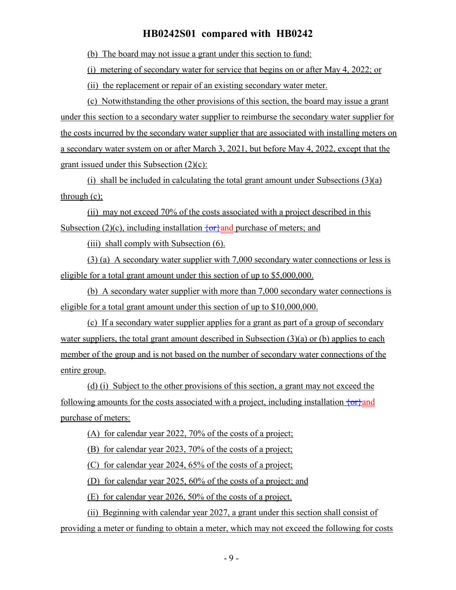(b) The board may not issue a grant under this section to fund:

(i) metering of secondary water for service that begins on or after May 4, 2022; or

(ii) the replacement or repair of an existing secondary water meter.

(c) Notwithstanding the other provisions of this section, the board may issue a grant under this section to a secondary water supplier to reimburse the secondary water supplier for the costs incurred by the secondary water supplier that are associated with installing meters on a secondary water system on or after March 3, 2021, but before May 4, 2022, except that the grant issued under this Subsection (2)(c):

(i) shall be included in calculating the total grant amount under Subsections (3)(a) through (c);

(ii) may not exceed 70% of the costs associated with a project described in this Subsection (2)(c), including installation  $\overline{\{or\}}$  and purchase of meters; and

(iii) shall comply with Subsection (6).

(3) (a) A secondary water supplier with 7,000 secondary water connections or less is eligible for a total grant amount under this section of up to \$5,000,000.

(b) A secondary water supplier with more than 7,000 secondary water connections is eligible for a total grant amount under this section of up to \$10,000,000.

(c) If a secondary water supplier applies for a grant as part of a group of secondary water suppliers, the total grant amount described in Subsection  $(3)(a)$  or (b) applies to each member of the group and is not based on the number of secondary water connections of the entire group.

(d) (i) Subject to the other provisions of this section, a grant may not exceed the following amounts for the costs associated with a project, including installation  $\{or\}$  and purchase of meters:

(A) for calendar year 2022, 70% of the costs of a project;

(B) for calendar year 2023, 70% of the costs of a project;

(C) for calendar year 2024, 65% of the costs of a project;

(D) for calendar year 2025, 60% of the costs of a project; and

(E) for calendar year 2026, 50% of the costs of a project.

(ii) Beginning with calendar year 2027, a grant under this section shall consist of providing a meter or funding to obtain a meter, which may not exceed the following for costs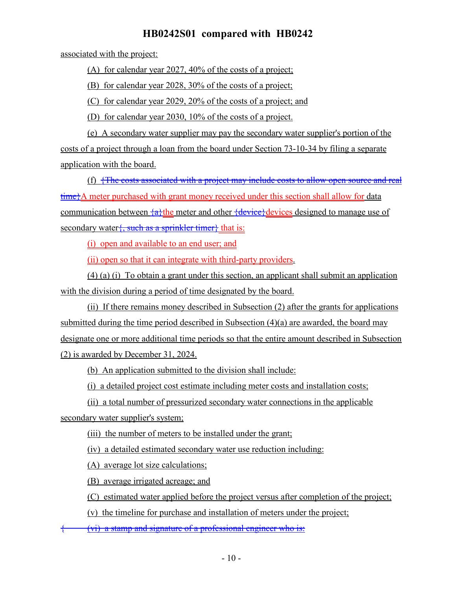associated with the project:

(A) for calendar year 2027, 40% of the costs of a project;

(B) for calendar year 2028, 30% of the costs of a project;

(C) for calendar year 2029, 20% of the costs of a project; and

(D) for calendar year 2030, 10% of the costs of a project.

(e) A secondary water supplier may pay the secondary water supplier's portion of the costs of a project through a loan from the board under Section 73-10-34 by filing a separate application with the board.

(f)  $\frac{1}{\sqrt{1}}$  {The costs associated with a project may include costs to allow open source and real time<sup>{</sup>A meter purchased with grant money received under this section shall allow for data communication between  $\{a\}$ the meter and other  $\{device\}$ devices designed to manage use of secondary water $\{$ , such as a sprinkler timer $\}$  that is:

(i) open and available to an end user; and

(ii) open so that it can integrate with third-party providers.

(4) (a) (i) To obtain a grant under this section, an applicant shall submit an application with the division during a period of time designated by the board.

(ii) If there remains money described in Subsection (2) after the grants for applications submitted during the time period described in Subsection (4)(a) are awarded, the board may designate one or more additional time periods so that the entire amount described in Subsection (2) is awarded by December 31, 2024.

(b) An application submitted to the division shall include:

(i) a detailed project cost estimate including meter costs and installation costs;

(ii) a total number of pressurized secondary water connections in the applicable secondary water supplier's system;

(iii) the number of meters to be installed under the grant;

(iv) a detailed estimated secondary water use reduction including:

(A) average lot size calculations;

(B) average irrigated acreage; and

(C) estimated water applied before the project versus after completion of the project;

(v) the timeline for purchase and installation of meters under the project;

{ (vi) a stamp and signature of a professional engineer who is: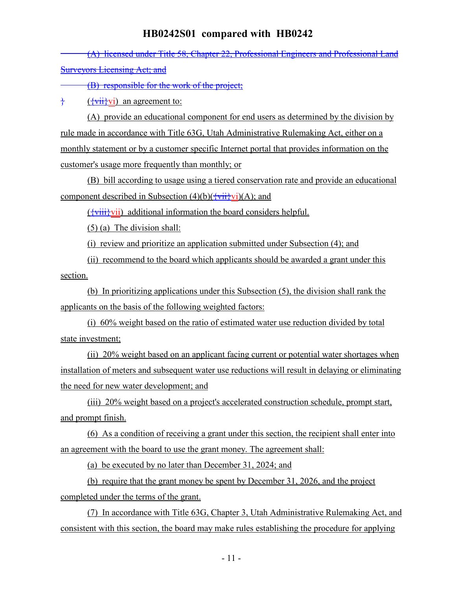(A) licensed under Title 58, Chapter 22, Professional Engineers and Professional Land **Surveyors Licensing Act; and** 

(B) responsible for the work of the project;

 $\frac{1}{2}$  ( $\frac{1}{2}$  ( $\frac{1}{2}$  vii $\frac{1}{2}$  vii) an agreement to:

(A) provide an educational component for end users as determined by the division by rule made in accordance with Title 63G, Utah Administrative Rulemaking Act, either on a monthly statement or by a customer specific Internet portal that provides information on the customer's usage more frequently than monthly; or

(B) bill according to usage using a tiered conservation rate and provide an educational component described in Subsection  $(4)(b)(\overleftrightarrow{vii} \cdot \overleftrightarrow{vi})(A)$ ; and

 $({\overline{\text{variiv}}})$  additional information the board considers helpful.

(5) (a) The division shall:

(i) review and prioritize an application submitted under Subsection (4); and

(ii) recommend to the board which applicants should be awarded a grant under this section.

(b) In prioritizing applications under this Subsection (5), the division shall rank the applicants on the basis of the following weighted factors:

(i) 60% weight based on the ratio of estimated water use reduction divided by total state investment;

(ii) 20% weight based on an applicant facing current or potential water shortages when installation of meters and subsequent water use reductions will result in delaying or eliminating the need for new water development; and

(iii) 20% weight based on a project's accelerated construction schedule, prompt start, and prompt finish.

(6) As a condition of receiving a grant under this section, the recipient shall enter into an agreement with the board to use the grant money. The agreement shall:

(a) be executed by no later than December 31, 2024; and

(b) require that the grant money be spent by December 31, 2026, and the project completed under the terms of the grant.

(7) In accordance with Title 63G, Chapter 3, Utah Administrative Rulemaking Act, and consistent with this section, the board may make rules establishing the procedure for applying